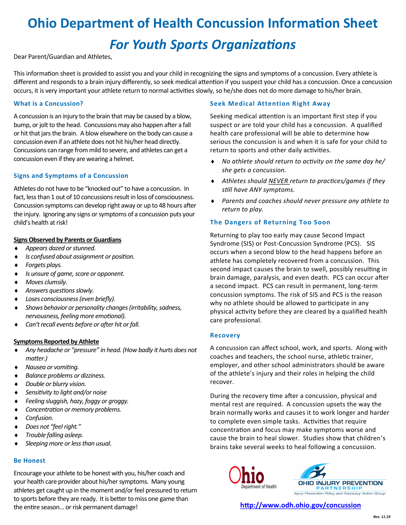# **Ohio Department of Health Concussion Information Sheet**

# *For Youth Sports Organizations*

Dear Parent/Guardian and Athletes,

This information sheet is provided to assist you and your child in recognizing the signs and symptoms of a concussion. Every athlete is different and responds to a brain injury differently, so seek medical attention if you suspect your child has a concussion. Once a concussion occurs, it is very important your athlete return to normal activities slowly, so he/she does not do more damage to his/her brain.

# **What is a Concussion?**

A concussion is an injury to the brain that may be caused by a blow, bump, or jolt to the head. Concussions may also happen after a fall or hit that jars the brain. A blow elsewhere on the body can cause a concussion even if an athlete does not hit his/her head directly. Concussions can range from mild to severe, and athletes can get a concussion even if they are wearing a helmet.

# **Signs and Symptoms of a Concussion**

Athletes do not have to be "knocked out" to have a concussion. In fact, less than 1 out of 10 concussions result in loss of consciousness. Concussion symptoms can develop right away or up to 48 hours after the injury. Ignoring any signs or symptoms of a concussion puts your child's health at risk!

#### **Signs Observed by Parents or Guardians**

- *Appears dazed or stunned.*
- *Is confused about assignment or position.*
- *Forgets plays.*
- *Is unsure of game, score or opponent.*
- *Moves clumsily.*
- *Answers questions slowly.*
- *Loses consciousness (even briefly).*
- *Shows behavior or personality changes (irritability, sadness, nervousness, feeling more emotional).*
- *Can't recall events before or after hit or fall.*

#### **Symptoms Reported by Athlete**

- *Any headache or "pressure" in head. (How badly it hurts does not matter.)*
- *Nausea or vomiting.*
- *Balance problems or dizziness.*
- *Double or blurry vision.*
- *Sensitivity to light and/or noise*
- *Feeling sluggish, hazy, foggy or groggy.*
- *Concentration or memory problems.*
- *Confusion.*
- *Does not "feel right."*
- *Trouble falling asleep.*
- *Sleeping more or less than usual.*

# **Be Honest**

Encourage your athlete to be honest with you, his/her coach and your health care provider about his/her symptoms. Many young athletes get caught up in the moment and/or feel pressured to return to sports before they are ready. It is better to miss one game than the entire season… or risk permanent damage!

# **Seek Medical Attention Right Away**

Seeking medical attention is an important first step if you suspect or are told your child has a concussion. A qualified health care professional will be able to determine how serious the concussion is and when it is safe for your child to return to sports and other daily activities.

- *No athlete should return to activity on the same day he/ she gets a concussion.*
- *Athletes should NEVER return to practices/games if they still have ANY symptoms.*
- *Parents and coaches should never pressure any athlete to return to play.*

# **The Dangers of Returning Too Soon**

Returning to play too early may cause Second Impact Syndrome (SIS) or Post-Concussion Syndrome (PCS). SIS occurs when a second blow to the head happens before an athlete has completely recovered from a concussion. This second impact causes the brain to swell, possibly resulting in brain damage, paralysis, and even death. PCS can occur after a second impact. PCS can result in permanent, long-term concussion symptoms. The risk of SIS and PCS is the reason why no athlete should be allowed to participate in any physical activity before they are cleared by a qualified health care professional.

#### **Recovery**

A concussion can affect school, work, and sports. Along with coaches and teachers, the school nurse, athletic trainer, employer, and other school administrators should be aware of the athlete's injury and their roles in helping the child recover.

During the recovery time after a concussion, physical and mental rest are required. A concussion upsets the way the brain normally works and causes it to work longer and harder to complete even simple tasks. Activities that require concentration and focus may make symptoms worse and cause the brain to heal slower. Studies show that children's brains take several weeks to heal following a concussion.





**<http://www.odh.ohio.gov/concussion>**